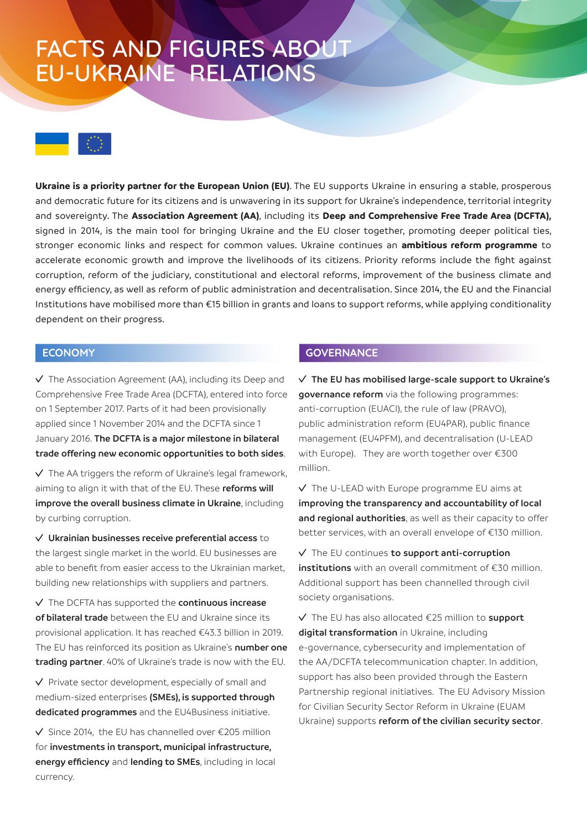# FACTS AND FIGURES ABOUT EU-UKRAINE RELATIONS



**Ukraine is a priority partner for the European Union (EU)**. The EU supports Ukraine in ensuring a stable, prosperous and democratic future for its citizens and is unwavering in its support for Ukraine's independence, territorial integrity and sovereignty. The **Association Agreement (AA)**, including its **Deep and Comprehensive Free Trade Area (DCFTA),** signed in 2014, is the main tool for bringing Ukraine and the EU closer together, promoting deeper political ties, stronger economic links and respect for common values. Ukraine continues an **ambitious reform programme** to accelerate economic growth and improve the livelihoods of its citizens. Priority reforms include the fight against corruption, reform of the judiciary, constitutional and electoral reforms, improvement of the business climate and energy efficiency, as well as reform of public administration and decentralisation. Since 2014, the EU and the Financial Institutions have mobilised more than €15 billion in grants and loans to support reforms, while applying conditionality dependent on their progress.

## **ECONOMY**

 $\sqrt{ }$  The Association Agreement (AA), including its Deep and Comprehensive Free Trade Area (DCFTA), entered into force on 1 September 2017. Parts of it had been provisionally applied since 1 November 2014 and the DCFTA since 1 January 2016. **The DCFTA is a major milestone in bilateral trade offering new economic opportunities to both sides**.

 $\vee$  The AA triggers the reform of Ukraine's legal framework, aiming to align it with that of the EU. These **reforms will improve the overall business climate in Ukraine**, including by curbing corruption.

**Ukrainian businesses receive preferential access** to the largest single market in the world. EU businesses are able to benefit from easier access to the Ukrainian market, building new relationships with suppliers and partners.

The DCFTA has supported the **continuous increase of bilateral trade** between the EU and Ukraine since its provisional application. It has reached €43.3 billion in 2019. The EU has reinforced its position as Ukraine's **number one trading partner**. 40% of Ukraine's trade is now with the EU.

 $\vee$  Private sector development, especially of small and medium-sized enterprises **(SMEs), is supported through dedicated programmes** and the EU4Business initiative.

 $\sqrt{\frac{2014}{100}}$  Since 2014, the EU has channelled over  $\epsilon$ 205 million for **investments in transport, municipal infrastructure, energy efficiency** and **lending to SMEs**, including in local currency.

### **GOVERNANCE**

**The EU has mobilised large-scale support to Ukraine's governance reform** via the following programmes: anti-corruption (EUACI), the rule of law (PRAVO), public administration reform (EU4PAR), public finance management (EU4PFM), and decentralisation (U-LEAD with Europe). They are worth together over €300 million.

 $\sqrt{ }$  The U-LEAD with Europe programme EU aims at **improving the transparency and accountability of local and regional authorities**, as well as their capacity to offer better services, with an overall envelope of €130 million.

The EU continues **to support anti-corruption institutions** with an overall commitment of €30 million. Additional support has been channelled through civil society organisations.

The EU has also allocated €25 million to **support digital transformation** in Ukraine, including e-governance, cybersecurity and implementation of the AA/DCFTA telecommunication chapter. In addition, support has also been provided through the Eastern Partnership regional initiatives. The EU Advisory Mission for Civilian Security Sector Reform in Ukraine (EUAM Ukraine) supports **reform of the civilian security sector**.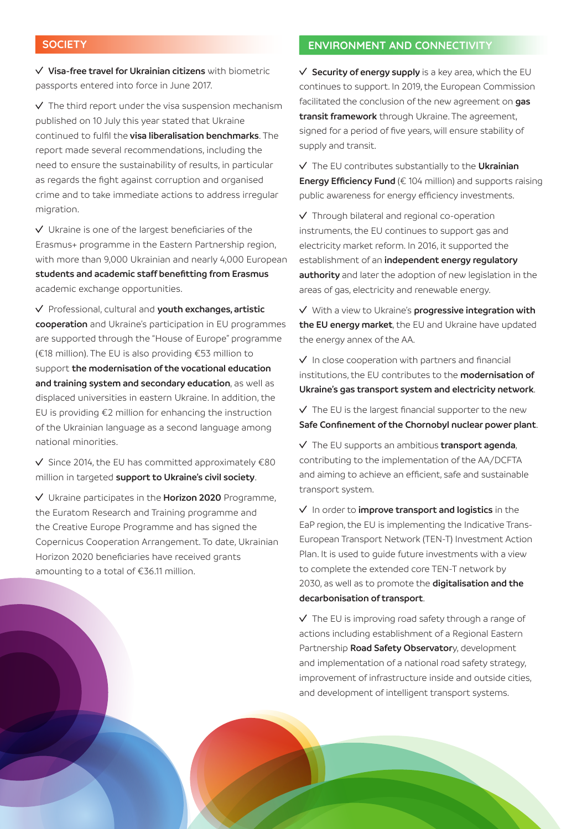### **SOCIETY**

**Visa-free travel for Ukrainian citizens** with biometric passports entered into force in June 2017.

 $\sqrt{ }$  The third report under the visa suspension mechanism published on 10 July this year stated that Ukraine continued to fulfil the **visa liberalisation benchmarks**. The report made several recommendations, including the need to ensure the sustainability of results, in particular as regards the fight against corruption and organised crime and to take immediate actions to address irregular migration.

 $\vee$  Ukraine is one of the largest beneficiaries of the Erasmus+ programme in the Eastern Partnership region, with more than 9,000 Ukrainian and nearly 4,000 European **students and academic staff benefitting from Erasmus** academic exchange opportunities.

Professional, cultural and **youth exchanges, artistic cooperation** and Ukraine's participation in EU programmes are supported through the "House of Europe" programme (€18 million). The EU is also providing €53 million to support **the modernisation of the vocational education and training system and secondary education**, as well as displaced universities in eastern Ukraine. In addition, the EU is providing €2 million for enhancing the instruction of the Ukrainian language as a second language among national minorities.

 $\checkmark$  Since 2014, the EU has committed approximately  $\epsilon$ 80 million in targeted **support to Ukraine's civil society**.

Ukraine participates in the **Horizon 2020** Programme, the Euratom Research and Training programme and the Creative Europe Programme and has signed the Copernicus Cooperation Arrangement. To date, Ukrainian Horizon 2020 beneficiaries have received grants amounting to a total of €36.11 million.

### **ENVIRONMENT AND CONNECTIVITY**

**Security of energy supply** is a key area, which the EU continues to support. In 2019, the European Commission facilitated the conclusion of the new agreement on **gas transit framework** through Ukraine. The agreement, signed for a period of five years, will ensure stability of supply and transit.

The EU contributes substantially to the **Ukrainian Energy Efficiency Fund** (€ 104 million) and supports raising public awareness for energy efficiency investments.

Through bilateral and regional co-operation instruments, the EU continues to support gas and electricity market reform. In 2016, it supported the establishment of an **independent energy regulatory authority** and later the adoption of new legislation in the areas of gas, electricity and renewable energy.

With a view to Ukraine's **progressive integration with the EU energy market**, the EU and Ukraine have updated the energy annex of the AA.

 $\vee$  In close cooperation with partners and financial institutions, the EU contributes to the **modernisation of Ukraine's gas transport system and electricity network**.

 $\sqrt{ }$  The EU is the largest financial supporter to the new **Safe Confinement of the Chornobyl nuclear power plant**.

The EU supports an ambitious **transport agenda**, contributing to the implementation of the AA/DCFTA and aiming to achieve an efficient, safe and sustainable transport system.

In order to **improve transport and logistics** in the EaP region, the EU is implementing the Indicative Trans-European Transport Network (TEN-T) Investment Action Plan. It is used to guide future investments with a view to complete the extended core TEN-T network by 2030, as well as to promote the **digitalisation and the decarbonisation of transport**.

 $\sqrt{ }$  The EU is improving road safety through a range of actions including establishment of a Regional Eastern Partnership **Road Safety Observator**y, development and implementation of a national road safety strategy, improvement of infrastructure inside and outside cities, and development of intelligent transport systems.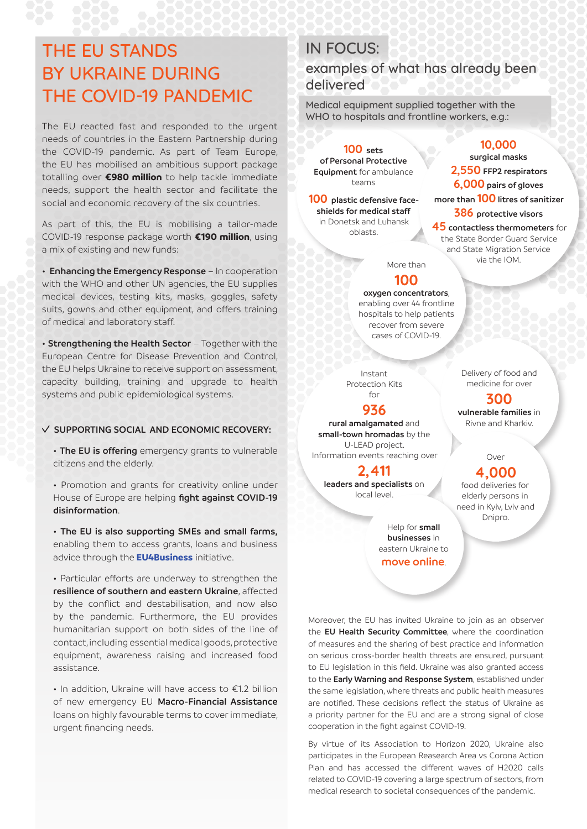## THE EU STANDS BY UKRAINE DURING THE COVID-19 PANDEMIC

The EU reacted fast and responded to the urgent needs of countries in the Eastern Partnership during the COVID-19 pandemic. As part of Team Europe, the EU has mobilised an ambitious support package totalling over **€980 million** to help tackle immediate needs, support the health sector and facilitate the social and economic recovery of the six countries.

As part of this, the EU is mobilising a tailor-made COVID-19 response package worth **€190 million**, using a mix of existing and new funds:

• **Enhancing the Emergency Response** – In cooperation with the WHO and other UN agencies, the EU supplies medical devices, testing kits, masks, goggles, safety suits, gowns and other equipment, and offers training of medical and laboratory staff.

• **Strengthening the Health Sector** – Together with the European Centre for Disease Prevention and Control, the EU helps Ukraine to receive support on assessment, capacity building, training and upgrade to health systems and public epidemiological systems.

#### **SUPPORTING SOCIAL AND ECONOMIC RECOVERY:**

• **The EU is offering** emergency grants to vulnerable citizens and the elderly.

• Promotion and grants for creativity online under House of Europe are helping **fight against COVID-19 disinformation**.

• **The EU is also supporting SMEs and small farms,** enabling them to access grants, loans and business advice through the **[EU4Business](http://EU4Business)** initiative.

• Particular efforts are underway to strengthen the **resilience of southern and eastern Ukraine**, affected by the conflict and destabilisation, and now also by the pandemic. Furthermore, the EU provides humanitarian support on both sides of the line of contact, including essential medical goods, protective equipment, awareness raising and increased food assistance.

• In addition, Ukraine will have access to €1.2 billion of new emergency EU **Macro-Financial Assistance** loans on highly favourable terms to cover immediate, urgent financing needs.

# IN FOCUS:

examples of what has already been delivered

Medical equipment supplied together with the WHO to hospitals and frontline workers, e.g.:

**100 sets of Personal Protective Equipment** for ambulance teams

**100 plastic defensive faceshields for medical staff** in Donetsk and Luhansk oblasts.

## **10,000**

**surgical masks 2,550 FFP2 respirators 6,000 pairs of gloves more than 100 litres of sanitizer 386 protective visors 45 contactless thermometers** for the State Border Guard Service and State Migration Service

via the IOM.

More than

## **100**

**oxygen concentrators**, enabling over 44 frontline hospitals to help patients recover from severe cases of COVID-19.

Instant Protection Kits for

### **936**

**rural amalgamated** and **small-town hromadas** by the U-LEAD project. Information events reaching over

**2,411 leaders and specialists** on local level.

> Help for **small businesses** in eastern Ukraine to **move online**.

Delivery of food and medicine for over

**300 vulnerable families** in Rivne and Kharkiv.

#### Over

### **4,000**

food deliveries for elderly persons in need in Kyiv, Lviv and Dnipro.

Moreover, the EU has invited Ukraine to join as an observer the **EU Health Security Committee**, where the coordination of measures and the sharing of best practice and information on serious cross-border health threats are ensured, pursuant to EU legislation in this field. Ukraine was also granted access to the **Early Warning and Response System**, established under the same legislation, where threats and public health measures are notified. These decisions reflect the status of Ukraine as a priority partner for the EU and are a strong signal of close cooperation in the fight against COVID-19.

By virtue of its Association to Horizon 2020, Ukraine also participates in the European Reasearch Area vs Corona Action Plan and has accessed the different waves of H2020 calls related to COVID-19 covering a large spectrum of sectors, from medical research to societal consequences of the pandemic.